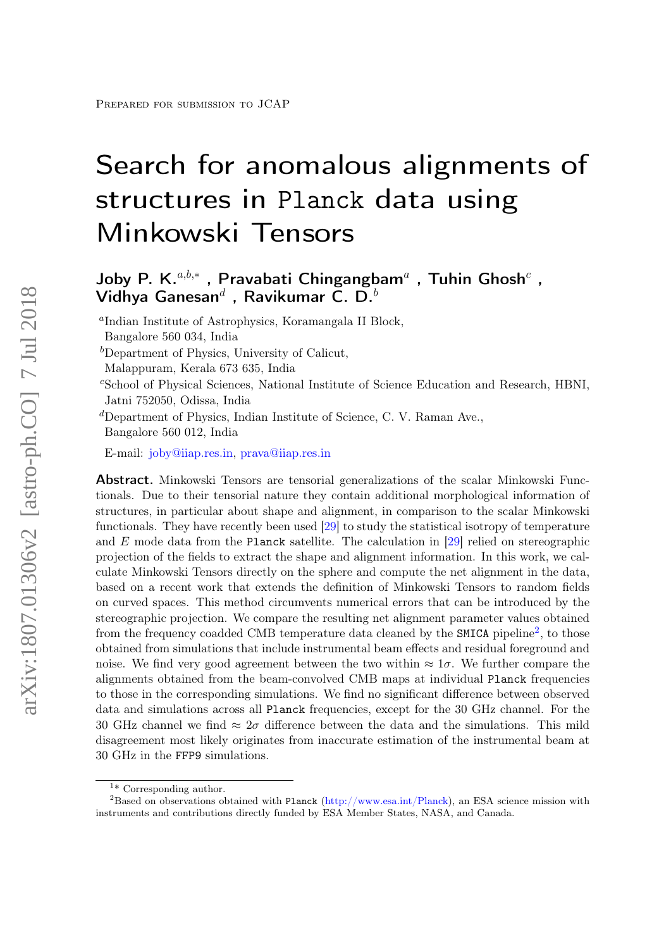# Search for anomalous alignments of structures in Planck data using Minkowski Tensors

## Joby P. K. $a,b,*$  , Pravabati Chingangbam<sup>a</sup> , Tuhin Ghosh<sup>c</sup> , Vidhya Ganesan $^d$  , Ravikumar C. D. $^b$

a Indian Institute of Astrophysics, Koramangala II Block,

<sup>c</sup>School of Physical Sciences, National Institute of Science Education and Research, HBNI, Jatni 752050, Odissa, India

<sup>d</sup>Department of Physics, Indian Institute of Science, C. V. Raman Ave., Bangalore 560 012, India

E-mail: [joby@iiap.res.in,](mailto:joby@iiap.res.in) [prava@iiap.res.in](mailto:prava@iiap.res.in)

**Abstract.** Minkowski Tensors are tensorial generalizations of the scalar Minkowski Functionals. Due to their tensorial nature they contain additional morphological information of structures, in particular about shape and alignment, in comparison to the scalar Minkowski functionals. They have recently been used [\[29\]](#page-15-0) to study the statistical isotropy of temperature and E mode data from the Planck satellite. The calculation in [\[29\]](#page-15-0) relied on stereographic projection of the fields to extract the shape and alignment information. In this work, we calculate Minkowski Tensors directly on the sphere and compute the net alignment in the data, based on a recent work that extends the definition of Minkowski Tensors to random fields on curved spaces. This method circumvents numerical errors that can be introduced by the stereographic projection. We compare the resulting net alignment parameter values obtained from the frequency coadded CMB temperature data cleaned by the **SMICA** pipeline<sup>[2](#page-0-0)</sup>, to those obtained from simulations that include instrumental beam effects and residual foreground and noise. We find very good agreement between the two within  $\approx 1\sigma$ . We further compare the alignments obtained from the beam-convolved CMB maps at individual Planck frequencies to those in the corresponding simulations. We find no significant difference between observed data and simulations across all Planck frequencies, except for the 30 GHz channel. For the 30 GHz channel we find  $\approx 2\sigma$  difference between the data and the simulations. This mild disagreement most likely originates from inaccurate estimation of the instrumental beam at 30 GHz in the FFP9 simulations.

Bangalore 560 034, India

 $b$ Department of Physics, University of Calicut,

Malappuram, Kerala 673 635, India

<span id="page-0-0"></span><sup>&</sup>lt;sup>1\*</sup> Corresponding author.

<sup>&</sup>lt;sup>2</sup>Based on observations obtained with Planck [\(http://www.esa.int/Planck\)](http://www.esa.int/Planck), an ESA science mission with instruments and contributions directly funded by ESA Member States, NASA, and Canada.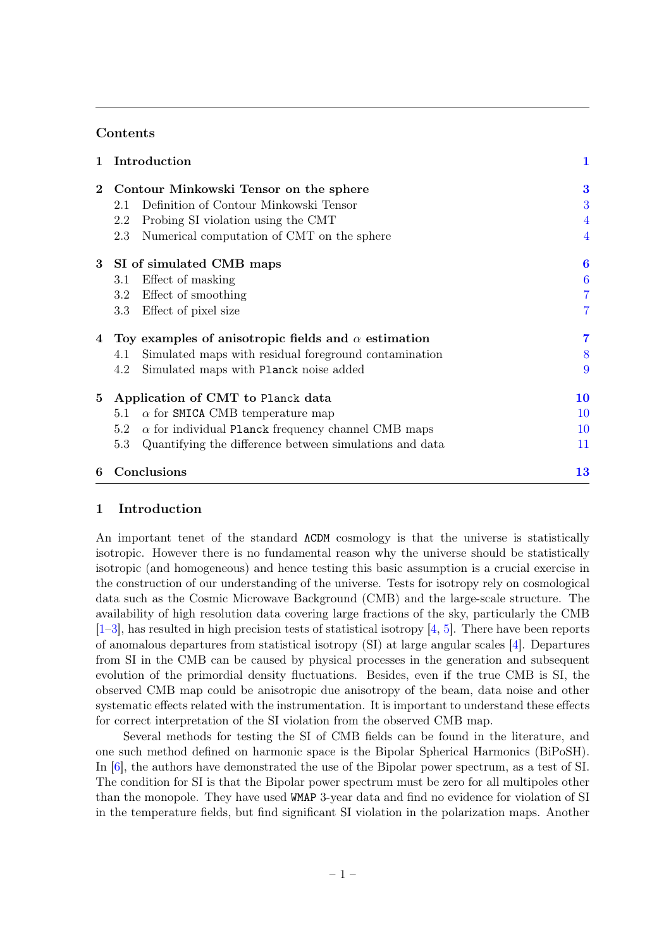## **Contents**

| 1                | Introduction                                                     |                |  |  |  |  |
|------------------|------------------------------------------------------------------|----------------|--|--|--|--|
| $\overline{2}$   | Contour Minkowski Tensor on the sphere                           |                |  |  |  |  |
|                  | Definition of Contour Minkowski Tensor<br>2.1                    | 3              |  |  |  |  |
|                  | Probing SI violation using the CMT<br>2.2                        | 4              |  |  |  |  |
|                  | Numerical computation of CMT on the sphere<br>2.3                | 4              |  |  |  |  |
|                  | 3 SI of simulated CMB maps                                       |                |  |  |  |  |
|                  | Effect of masking<br>3.1                                         | 6              |  |  |  |  |
|                  | 3.2 Effect of smoothing                                          | $\overline{7}$ |  |  |  |  |
|                  | Effect of pixel size<br>3.3                                      | 7              |  |  |  |  |
| 4                | Toy examples of anisotropic fields and $\alpha$ estimation       | 7              |  |  |  |  |
|                  | Simulated maps with residual foreground contamination<br>4.1     | 8              |  |  |  |  |
|                  | Simulated maps with Planck noise added<br>4.2                    | 9              |  |  |  |  |
| 5                | Application of CMT to Planck data                                |                |  |  |  |  |
|                  | $\alpha$ for SMICA CMB temperature map<br>5.1                    | 10             |  |  |  |  |
|                  | $\alpha$ for individual Planck frequency channel CMB maps<br>5.2 | 10             |  |  |  |  |
|                  | Quantifying the difference between simulations and data<br>5.3   | 11             |  |  |  |  |
| Conclusions<br>6 |                                                                  |                |  |  |  |  |

## <span id="page-1-0"></span>1 Introduction

An important tenet of the standard ΛCDM cosmology is that the universe is statistically isotropic. However there is no fundamental reason why the universe should be statistically isotropic (and homogeneous) and hence testing this basic assumption is a crucial exercise in the construction of our understanding of the universe. Tests for isotropy rely on cosmological data such as the Cosmic Microwave Background (CMB) and the large-scale structure. The availability of high resolution data covering large fractions of the sky, particularly the CMB  $[1–3]$  $[1–3]$ , has resulted in high precision tests of statistical isotropy  $[4, 5]$  $[4, 5]$  $[4, 5]$ . There have been reports of anomalous departures from statistical isotropy (SI) at large angular scales [\[4\]](#page-14-2). Departures from SI in the CMB can be caused by physical processes in the generation and subsequent evolution of the primordial density fluctuations. Besides, even if the true CMB is SI, the observed CMB map could be anisotropic due anisotropy of the beam, data noise and other systematic effects related with the instrumentation. It is important to understand these effects for correct interpretation of the SI violation from the observed CMB map.

Several methods for testing the SI of CMB fields can be found in the literature, and one such method defined on harmonic space is the Bipolar Spherical Harmonics (BiPoSH). In [\[6\]](#page-14-4), the authors have demonstrated the use of the Bipolar power spectrum, as a test of SI. The condition for SI is that the Bipolar power spectrum must be zero for all multipoles other than the monopole. They have used WMAP 3-year data and find no evidence for violation of SI in the temperature fields, but find significant SI violation in the polarization maps. Another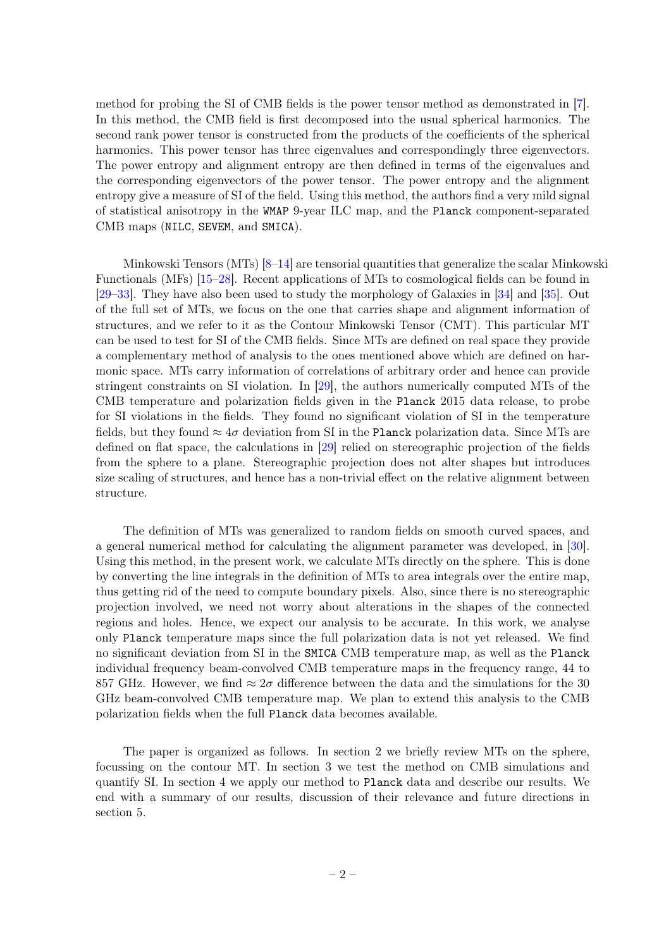method for probing the SI of CMB fields is the power tensor method as demonstrated in [\[7\]](#page-14-5). In this method, the CMB field is first decomposed into the usual spherical harmonics. The second rank power tensor is constructed from the products of the coefficients of the spherical harmonics. This power tensor has three eigenvalues and correspondingly three eigenvectors. The power entropy and alignment entropy are then defined in terms of the eigenvalues and the corresponding eigenvectors of the power tensor. The power entropy and the alignment entropy give a measure of SI of the field. Using this method, the authors find a very mild signal of statistical anisotropy in the WMAP 9-year ILC map, and the Planck component-separated CMB maps (NILC, SEVEM, and SMICA).

Minkowski Tensors (MTs) [\[8](#page-14-6)[–14\]](#page-14-7) are tensorial quantities that generalize the scalar Minkowski Functionals (MFs) [\[15–](#page-14-8)[28\]](#page-15-1). Recent applications of MTs to cosmological fields can be found in [\[29](#page-15-0)[–33\]](#page-15-2). They have also been used to study the morphology of Galaxies in [\[34\]](#page-15-3) and [\[35\]](#page-15-4). Out of the full set of MTs, we focus on the one that carries shape and alignment information of structures, and we refer to it as the Contour Minkowski Tensor (CMT). This particular MT can be used to test for SI of the CMB fields. Since MTs are defined on real space they provide a complementary method of analysis to the ones mentioned above which are defined on harmonic space. MTs carry information of correlations of arbitrary order and hence can provide stringent constraints on SI violation. In [\[29\]](#page-15-0), the authors numerically computed MTs of the CMB temperature and polarization fields given in the Planck 2015 data release, to probe for SI violations in the fields. They found no significant violation of SI in the temperature fields, but they found  $\approx 4\sigma$  deviation from SI in the Planck polarization data. Since MTs are defined on flat space, the calculations in [\[29\]](#page-15-0) relied on stereographic projection of the fields from the sphere to a plane. Stereographic projection does not alter shapes but introduces size scaling of structures, and hence has a non-trivial effect on the relative alignment between structure.

The definition of MTs was generalized to random fields on smooth curved spaces, and a general numerical method for calculating the alignment parameter was developed, in [\[30\]](#page-15-5). Using this method, in the present work, we calculate MTs directly on the sphere. This is done by converting the line integrals in the definition of MTs to area integrals over the entire map, thus getting rid of the need to compute boundary pixels. Also, since there is no stereographic projection involved, we need not worry about alterations in the shapes of the connected regions and holes. Hence, we expect our analysis to be accurate. In this work, we analyse only Planck temperature maps since the full polarization data is not yet released. We find no significant deviation from SI in the SMICA CMB temperature map, as well as the Planck individual frequency beam-convolved CMB temperature maps in the frequency range, 44 to 857 GHz. However, we find  $\approx 2\sigma$  difference between the data and the simulations for the 30 GHz beam-convolved CMB temperature map. We plan to extend this analysis to the CMB polarization fields when the full Planck data becomes available.

The paper is organized as follows. In section 2 we briefly review MTs on the sphere, focussing on the contour MT. In section 3 we test the method on CMB simulations and quantify SI. In section 4 we apply our method to Planck data and describe our results. We end with a summary of our results, discussion of their relevance and future directions in section 5.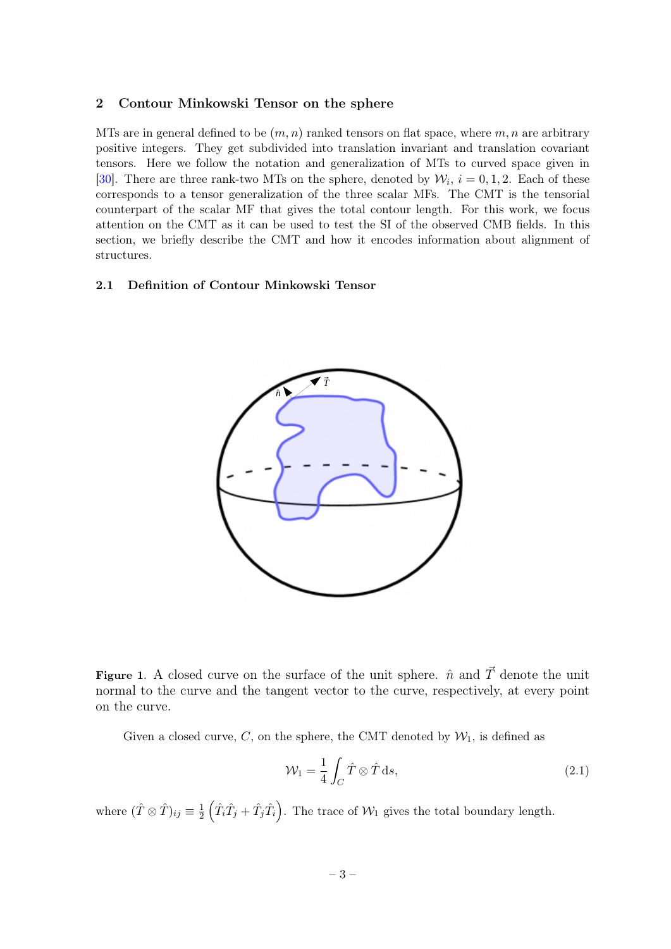### <span id="page-3-0"></span>2 Contour Minkowski Tensor on the sphere

MTs are in general defined to be  $(m, n)$  ranked tensors on flat space, where m, n are arbitrary positive integers. They get subdivided into translation invariant and translation covariant tensors. Here we follow the notation and generalization of MTs to curved space given in [\[30\]](#page-15-5). There are three rank-two MTs on the sphere, denoted by  $\mathcal{W}_i$ ,  $i = 0, 1, 2$ . Each of these corresponds to a tensor generalization of the three scalar MFs. The CMT is the tensorial counterpart of the scalar MF that gives the total contour length. For this work, we focus attention on the CMT as it can be used to test the SI of the observed CMB fields. In this section, we briefly describe the CMT and how it encodes information about alignment of structures.

## <span id="page-3-1"></span>2.1 Definition of Contour Minkowski Tensor



Figure 1. A closed curve on the surface of the unit sphere.  $\hat{n}$  and  $\vec{T}$  denote the unit normal to the curve and the tangent vector to the curve, respectively, at every point on the curve.

Given a closed curve, C, on the sphere, the CMT denoted by  $\mathcal{W}_1$ , is defined as

$$
\mathcal{W}_1 = \frac{1}{4} \int_C \hat{T} \otimes \hat{T} \, \mathrm{d}s,\tag{2.1}
$$

where  $(\hat{T} \otimes \hat{T})_{ij} \equiv \frac{1}{2}$  $\frac{1}{2} \left( \hat{T}_i \hat{T}_j + \hat{T}_j \hat{T}_i \right)$ . The trace of  $\mathcal{W}_1$  gives the total boundary length.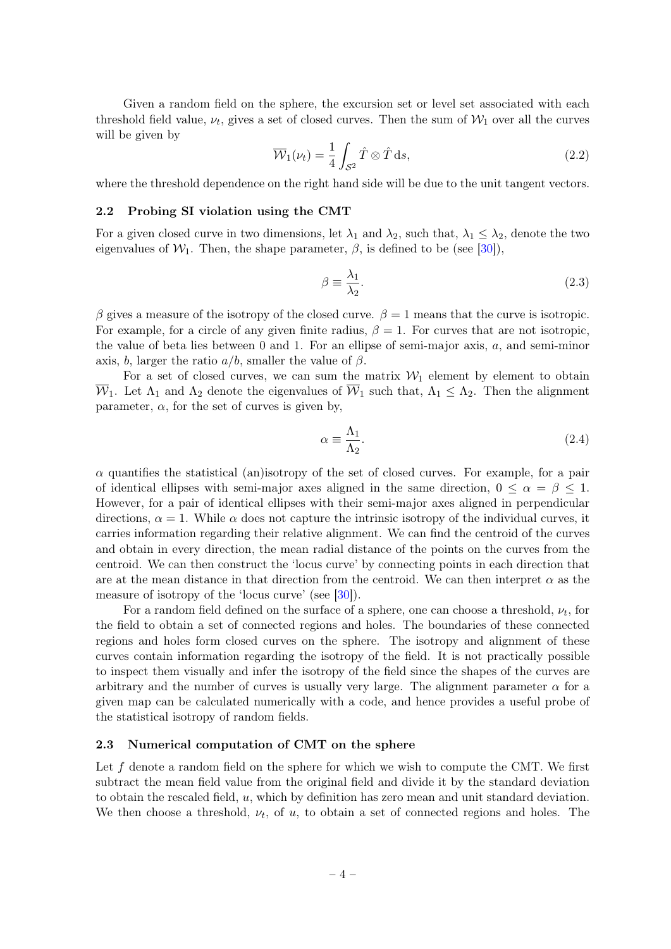Given a random field on the sphere, the excursion set or level set associated with each threshold field value,  $\nu_t$ , gives a set of closed curves. Then the sum of  $\mathcal{W}_1$  over all the curves will be given by

<span id="page-4-2"></span>
$$
\overline{\mathcal{W}}_1(\nu_t) = \frac{1}{4} \int_{\mathcal{S}^2} \hat{T} \otimes \hat{T} \, \mathrm{d}s,\tag{2.2}
$$

where the threshold dependence on the right hand side will be due to the unit tangent vectors.

#### <span id="page-4-0"></span>2.2 Probing SI violation using the CMT

For a given closed curve in two dimensions, let  $\lambda_1$  and  $\lambda_2$ , such that,  $\lambda_1 \leq \lambda_2$ , denote the two eigenvalues of  $W_1$ . Then, the shape parameter,  $\beta$ , is defined to be (see [\[30\]](#page-15-5)),

$$
\beta \equiv \frac{\lambda_1}{\lambda_2}.\tag{2.3}
$$

β gives a measure of the isotropy of the closed curve.  $β = 1$  means that the curve is isotropic. For example, for a circle of any given finite radius,  $\beta = 1$ . For curves that are not isotropic, the value of beta lies between 0 and 1. For an ellipse of semi-major axis, a, and semi-minor axis, b, larger the ratio  $a/b$ , smaller the value of  $\beta$ .

For a set of closed curves, we can sum the matrix  $W_1$  element by element to obtain  $\overline{\mathcal{W}}_1$ . Let  $\Lambda_1$  and  $\Lambda_2$  denote the eigenvalues of  $\overline{\mathcal{W}}_1$  such that,  $\Lambda_1 \leq \Lambda_2$ . Then the alignment parameter,  $\alpha$ , for the set of curves is given by,

$$
\alpha \equiv \frac{\Lambda_1}{\Lambda_2}.\tag{2.4}
$$

 $\alpha$  quantifies the statistical (an)isotropy of the set of closed curves. For example, for a pair of identical ellipses with semi-major axes aligned in the same direction,  $0 \leq \alpha = \beta \leq 1$ . However, for a pair of identical ellipses with their semi-major axes aligned in perpendicular directions,  $\alpha = 1$ . While  $\alpha$  does not capture the intrinsic isotropy of the individual curves, it carries information regarding their relative alignment. We can find the centroid of the curves and obtain in every direction, the mean radial distance of the points on the curves from the centroid. We can then construct the 'locus curve' by connecting points in each direction that are at the mean distance in that direction from the centroid. We can then interpret  $\alpha$  as the measure of isotropy of the 'locus curve' (see [\[30\]](#page-15-5)).

For a random field defined on the surface of a sphere, one can choose a threshold,  $\nu_t$ , for the field to obtain a set of connected regions and holes. The boundaries of these connected regions and holes form closed curves on the sphere. The isotropy and alignment of these curves contain information regarding the isotropy of the field. It is not practically possible to inspect them visually and infer the isotropy of the field since the shapes of the curves are arbitrary and the number of curves is usually very large. The alignment parameter  $\alpha$  for a given map can be calculated numerically with a code, and hence provides a useful probe of the statistical isotropy of random fields.

## <span id="page-4-1"></span>2.3 Numerical computation of CMT on the sphere

Let  $f$  denote a random field on the sphere for which we wish to compute the CMT. We first subtract the mean field value from the original field and divide it by the standard deviation to obtain the rescaled field, u, which by definition has zero mean and unit standard deviation. We then choose a threshold,  $\nu_t$ , of u, to obtain a set of connected regions and holes. The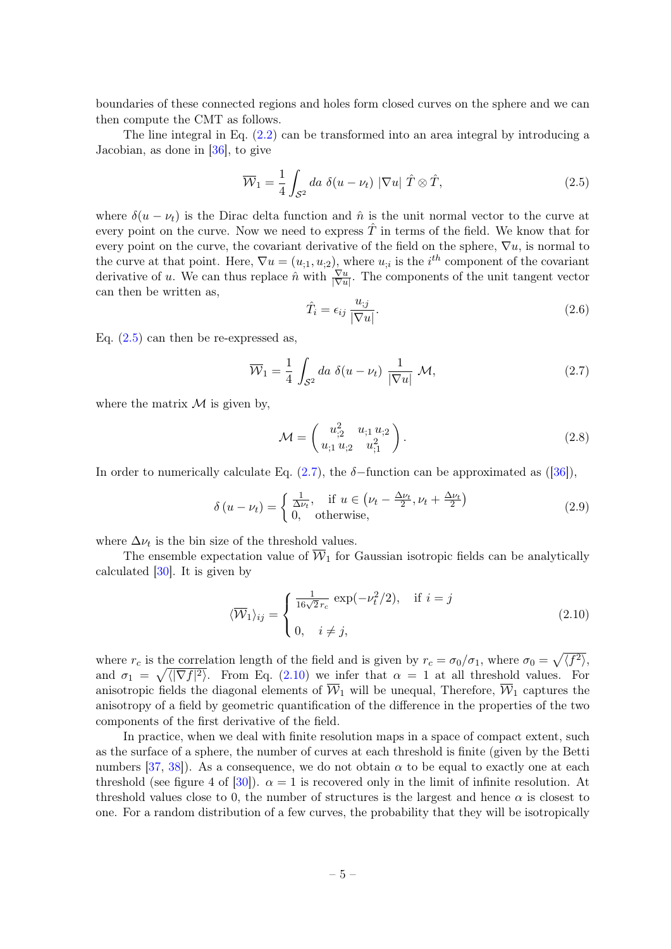boundaries of these connected regions and holes form closed curves on the sphere and we can then compute the CMT as follows.

The line integral in Eq. [\(2.2\)](#page-4-2) can be transformed into an area integral by introducing a Jacobian, as done in [\[36\]](#page-15-6), to give

<span id="page-5-0"></span>
$$
\overline{\mathcal{W}}_1 = \frac{1}{4} \int_{\mathcal{S}^2} da \ \delta(u - \nu_t) \ |\nabla u| \ \hat{T} \otimes \hat{T}, \tag{2.5}
$$

where  $\delta(u - \nu_t)$  is the Dirac delta function and  $\hat{n}$  is the unit normal vector to the curve at every point on the curve. Now we need to express  $\hat{T}$  in terms of the field. We know that for every point on the curve, the covariant derivative of the field on the sphere,  $\nabla u$ , is normal to the curve at that point. Here,  $\nabla u = (u_{,1}, u_{,2}),$  where  $u_{,i}$  is the  $i^{th}$  component of the covariant derivative of u. We can thus replace  $\hat{n}$  with  $\frac{\nabla u}{|\nabla u|}$ . The components of the unit tangent vector can then be written as,

$$
\hat{T}_i = \epsilon_{ij} \frac{u_{;j}}{|\nabla u|}.
$$
\n(2.6)

Eq.  $(2.5)$  can then be re-expressed as,

<span id="page-5-1"></span>
$$
\overline{\mathcal{W}}_1 = \frac{1}{4} \int_{\mathcal{S}^2} da \ \delta(u - \nu_t) \ \frac{1}{|\nabla u|} \ \mathcal{M}, \tag{2.7}
$$

where the matrix  $\mathcal M$  is given by,

$$
\mathcal{M} = \begin{pmatrix} u_{;2}^2 & u_{;1} u_{;2} \\ u_{;1} u_{;2} & u_{;1}^2 \end{pmatrix} . \tag{2.8}
$$

In order to numerically calculate Eq. [\(2.7\)](#page-5-1), the  $\delta$ -function can be approximated as ([\[36\]](#page-15-6)),

$$
\delta(u - \nu_t) = \begin{cases} \frac{1}{\Delta \nu_t}, & \text{if } u \in (\nu_t - \frac{\Delta \nu_t}{2}, \nu_t + \frac{\Delta \nu_t}{2})\\ 0, & \text{otherwise}, \end{cases}
$$
(2.9)

where  $\Delta \nu_t$  is the bin size of the threshold values.

The ensemble expectation value of  $\overline{W}_1$  for Gaussian isotropic fields can be analytically calculated [\[30\]](#page-15-5). It is given by

<span id="page-5-2"></span>
$$
\langle \overline{\mathcal{W}}_1 \rangle_{ij} = \begin{cases} \frac{1}{16\sqrt{2}r_c} \exp(-\nu_t^2/2), & \text{if } i = j \\ 0, & i \neq j, \end{cases}
$$
 (2.10)

where  $r_c$  is the correlation length of the field and is given by  $r_c = \sigma_0/\sigma_1$ , where  $\sigma_0 = \sqrt{\langle f^2 \rangle}$ , and  $\sigma_1 = \sqrt{\langle |\nabla f|^2 \rangle}$ . From Eq. [\(2.10\)](#page-5-2) we infer that  $\alpha = 1$  at all threshold values. For anisotropic fields the diagonal elements of  $\overline{\mathcal{W}}_1$  will be unequal, Therefore,  $\overline{\mathcal{W}}_1$  captures the anisotropy of a field by geometric quantification of the difference in the properties of the two components of the first derivative of the field.

In practice, when we deal with finite resolution maps in a space of compact extent, such as the surface of a sphere, the number of curves at each threshold is finite (given by the Betti numbers [\[37,](#page-15-7) [38\]](#page-15-8)). As a consequence, we do not obtain  $\alpha$  to be equal to exactly one at each threshold (see figure 4 of [\[30\]](#page-15-5)).  $\alpha = 1$  is recovered only in the limit of infinite resolution. At threshold values close to 0, the number of structures is the largest and hence  $\alpha$  is closest to one. For a random distribution of a few curves, the probability that they will be isotropically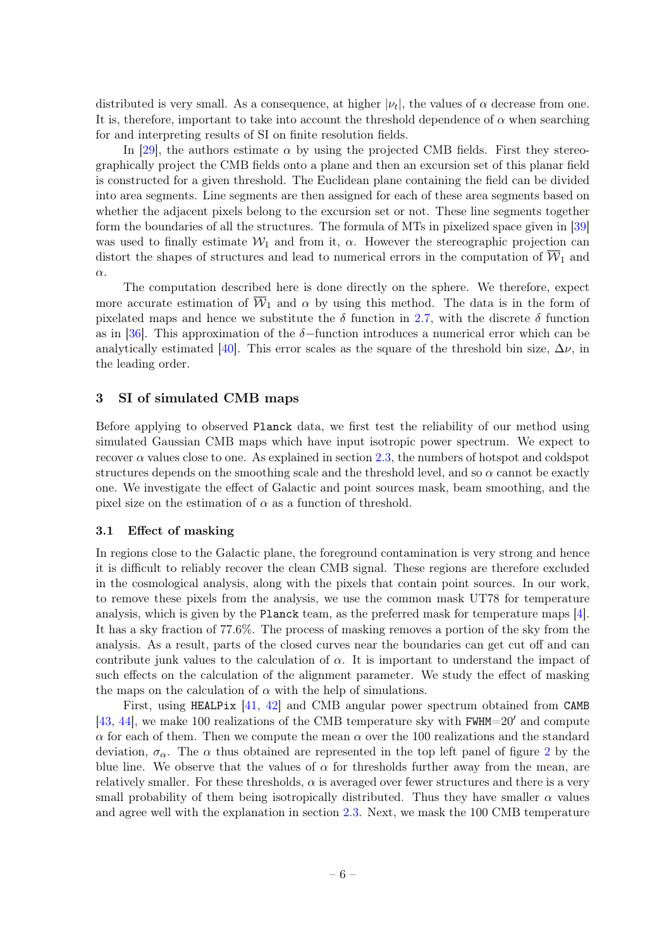distributed is very small. As a consequence, at higher  $|\nu_t|$ , the values of  $\alpha$  decrease from one. It is, therefore, important to take into account the threshold dependence of  $\alpha$  when searching for and interpreting results of SI on finite resolution fields.

In [\[29\]](#page-15-0), the authors estimate  $\alpha$  by using the projected CMB fields. First they stereographically project the CMB fields onto a plane and then an excursion set of this planar field is constructed for a given threshold. The Euclidean plane containing the field can be divided into area segments. Line segments are then assigned for each of these area segments based on whether the adjacent pixels belong to the excursion set or not. These line segments together form the boundaries of all the structures. The formula of MTs in pixelized space given in [\[39\]](#page-16-0) was used to finally estimate  $\mathcal{W}_1$  and from it,  $\alpha$ . However the stereographic projection can distort the shapes of structures and lead to numerical errors in the computation of  $\overline{W}_1$  and α.

The computation described here is done directly on the sphere. We therefore, expect more accurate estimation of  $\overline{W}_1$  and  $\alpha$  by using this method. The data is in the form of pixelated maps and hence we substitute the  $\delta$  function in [2.7,](#page-5-1) with the discrete  $\delta$  function as in [\[36\]](#page-15-6). This approximation of the  $\delta$ -function introduces a numerical error which can be analytically estimated [\[40\]](#page-16-1). This error scales as the square of the threshold bin size,  $\Delta \nu$ , in the leading order.

## <span id="page-6-0"></span>3 SI of simulated CMB maps

Before applying to observed Planck data, we first test the reliability of our method using simulated Gaussian CMB maps which have input isotropic power spectrum. We expect to recover  $\alpha$  values close to one. As explained in section [2.3,](#page-4-1) the numbers of hotspot and coldspot structures depends on the smoothing scale and the threshold level, and so  $\alpha$  cannot be exactly one. We investigate the effect of Galactic and point sources mask, beam smoothing, and the pixel size on the estimation of  $\alpha$  as a function of threshold.

#### <span id="page-6-1"></span>3.1 Effect of masking

In regions close to the Galactic plane, the foreground contamination is very strong and hence it is difficult to reliably recover the clean CMB signal. These regions are therefore excluded in the cosmological analysis, along with the pixels that contain point sources. In our work, to remove these pixels from the analysis, we use the common mask UT78 for temperature analysis, which is given by the Planck team, as the preferred mask for temperature maps [\[4\]](#page-14-2). It has a sky fraction of 77.6%. The process of masking removes a portion of the sky from the analysis. As a result, parts of the closed curves near the boundaries can get cut off and can contribute junk values to the calculation of  $\alpha$ . It is important to understand the impact of such effects on the calculation of the alignment parameter. We study the effect of masking the maps on the calculation of  $\alpha$  with the help of simulations.

First, using HEALPix [\[41,](#page-16-2) [42\]](#page-16-3) and CMB angular power spectrum obtained from CAMB [\[43,](#page-16-4) [44\]](#page-16-5), we make 100 realizations of the CMB temperature sky with  $FWHM=20'$  and compute  $\alpha$  for each of them. Then we compute the mean  $\alpha$  over the 100 realizations and the standard deviation,  $\sigma_{\alpha}$ . The  $\alpha$  thus obtained are represented in the top left panel of figure [2](#page-8-1) by the blue line. We observe that the values of  $\alpha$  for thresholds further away from the mean, are relatively smaller. For these thresholds,  $\alpha$  is averaged over fewer structures and there is a very small probability of them being isotropically distributed. Thus they have smaller  $\alpha$  values and agree well with the explanation in section [2.3.](#page-4-1) Next, we mask the 100 CMB temperature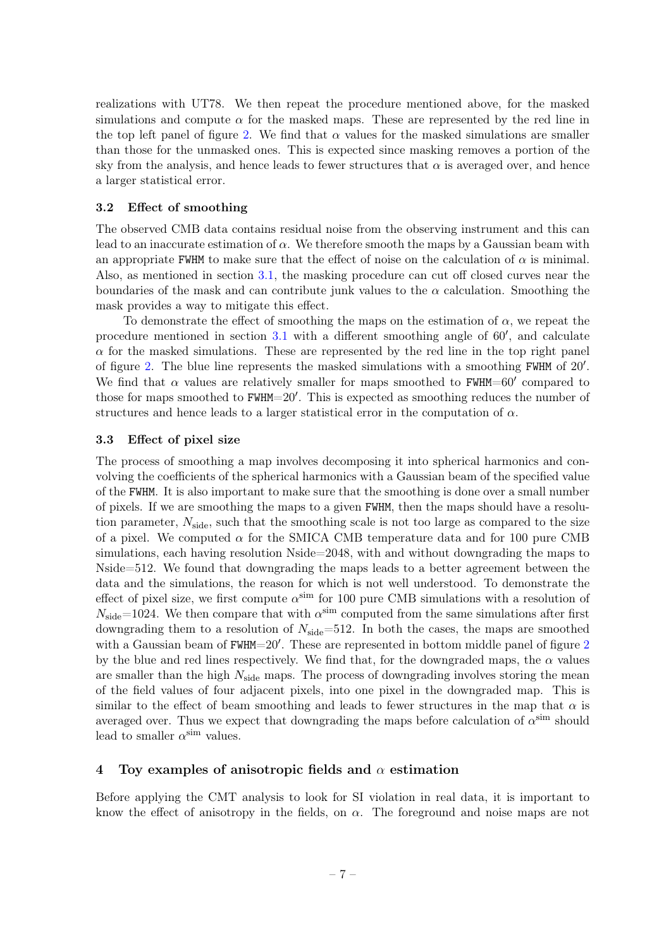realizations with UT78. We then repeat the procedure mentioned above, for the masked simulations and compute  $\alpha$  for the masked maps. These are represented by the red line in the top left panel of figure [2.](#page-8-1) We find that  $\alpha$  values for the masked simulations are smaller than those for the unmasked ones. This is expected since masking removes a portion of the sky from the analysis, and hence leads to fewer structures that  $\alpha$  is averaged over, and hence a larger statistical error.

## <span id="page-7-0"></span>3.2 Effect of smoothing

The observed CMB data contains residual noise from the observing instrument and this can lead to an inaccurate estimation of  $\alpha$ . We therefore smooth the maps by a Gaussian beam with an appropriate FWHM to make sure that the effect of noise on the calculation of  $\alpha$  is minimal. Also, as mentioned in section [3.1,](#page-6-1) the masking procedure can cut off closed curves near the boundaries of the mask and can contribute junk values to the  $\alpha$  calculation. Smoothing the mask provides a way to mitigate this effect.

To demonstrate the effect of smoothing the maps on the estimation of  $\alpha$ , we repeat the procedure mentioned in section  $3.1$  with a different smoothing angle of  $60'$ , and calculate  $\alpha$  for the masked simulations. These are represented by the red line in the top right panel of figure [2.](#page-8-1) The blue line represents the masked simulations with a smoothing FWHM of  $20'$ . We find that  $\alpha$  values are relatively smaller for maps smoothed to FWHM=60' compared to those for maps smoothed to FWHM=20'. This is expected as smoothing reduces the number of structures and hence leads to a larger statistical error in the computation of  $\alpha$ .

## <span id="page-7-1"></span>3.3 Effect of pixel size

The process of smoothing a map involves decomposing it into spherical harmonics and convolving the coefficients of the spherical harmonics with a Gaussian beam of the specified value of the FWHM. It is also important to make sure that the smoothing is done over a small number of pixels. If we are smoothing the maps to a given FWHM, then the maps should have a resolution parameter,  $N_{\rm side}$ , such that the smoothing scale is not too large as compared to the size of a pixel. We computed  $\alpha$  for the SMICA CMB temperature data and for 100 pure CMB simulations, each having resolution Nside=2048, with and without downgrading the maps to Nside=512. We found that downgrading the maps leads to a better agreement between the data and the simulations, the reason for which is not well understood. To demonstrate the effect of pixel size, we first compute  $\alpha^{\text{sim}}$  for 100 pure CMB simulations with a resolution of  $N_{\text{side}}$ =1024. We then compare that with  $\alpha^{\text{sim}}$  computed from the same simulations after first downgrading them to a resolution of  $N_{\text{side}}=512$ . In both the cases, the maps are smoothed with a Gaussian beam of  $FWHM=20'$  $FWHM=20'$  $FWHM=20'$ . These are represented in bottom middle panel of figure 2 by the blue and red lines respectively. We find that, for the downgraded maps, the  $\alpha$  values are smaller than the high  $N_{side}$  maps. The process of downgrading involves storing the mean of the field values of four adjacent pixels, into one pixel in the downgraded map. This is similar to the effect of beam smoothing and leads to fewer structures in the map that  $\alpha$  is averaged over. Thus we expect that downgrading the maps before calculation of  $\alpha^{\text{sim}}$  should lead to smaller  $\alpha^{\text{sim}}$  values.

## <span id="page-7-2"></span>4 Toy examples of anisotropic fields and  $\alpha$  estimation

Before applying the CMT analysis to look for SI violation in real data, it is important to know the effect of anisotropy in the fields, on  $\alpha$ . The foreground and noise maps are not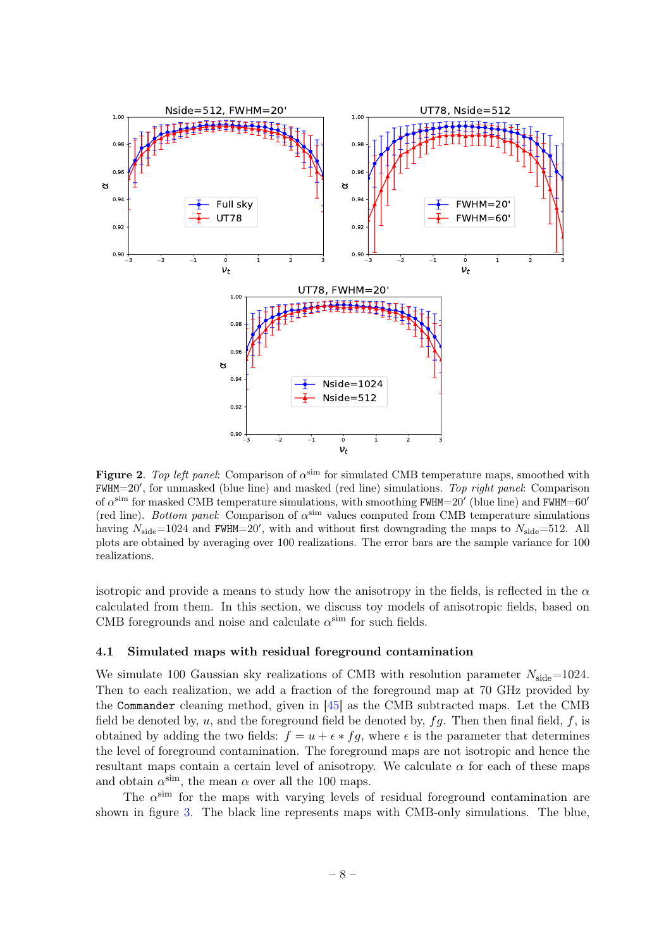

<span id="page-8-1"></span>Figure 2. Top left panel: Comparison of  $\alpha^{\text{sim}}$  for simulated CMB temperature maps, smoothed with FWHM=20', for unmasked (blue line) and masked (red line) simulations. Top right panel: Comparison of  $\alpha^{\text{sim}}$  for masked CMB temperature simulations, with smoothing FWHM=20' (blue line) and FWHM=60' (red line). Bottom panel: Comparison of  $\alpha^{\text{sim}}$  values computed from CMB temperature simulations having  $N_{\text{side}}$ =1024 and FWHM=20', with and without first downgrading the maps to  $N_{\text{side}}$ =512. All plots are obtained by averaging over 100 realizations. The error bars are the sample variance for 100 realizations.

isotropic and provide a means to study how the anisotropy in the fields, is reflected in the  $\alpha$ calculated from them. In this section, we discuss toy models of anisotropic fields, based on CMB foregrounds and noise and calculate  $\alpha^{\text{sim}}$  for such fields.

## <span id="page-8-0"></span>4.1 Simulated maps with residual foreground contamination

We simulate 100 Gaussian sky realizations of CMB with resolution parameter  $N_{\text{side}}=1024$ . Then to each realization, we add a fraction of the foreground map at 70 GHz provided by the Commander cleaning method, given in [\[45\]](#page-16-6) as the CMB subtracted maps. Let the CMB field be denoted by,  $u$ , and the foreground field be denoted by,  $fg$ . Then then final field,  $f$ , is obtained by adding the two fields:  $f = u + \epsilon * fg$ , where  $\epsilon$  is the parameter that determines the level of foreground contamination. The foreground maps are not isotropic and hence the resultant maps contain a certain level of anisotropy. We calculate  $\alpha$  for each of these maps and obtain  $\alpha^{\text{sim}}$ , the mean  $\alpha$  over all the 100 maps.

The  $\alpha^{\text{sim}}$  for the maps with varying levels of residual foreground contamination are shown in figure [3.](#page-9-1) The black line represents maps with CMB-only simulations. The blue,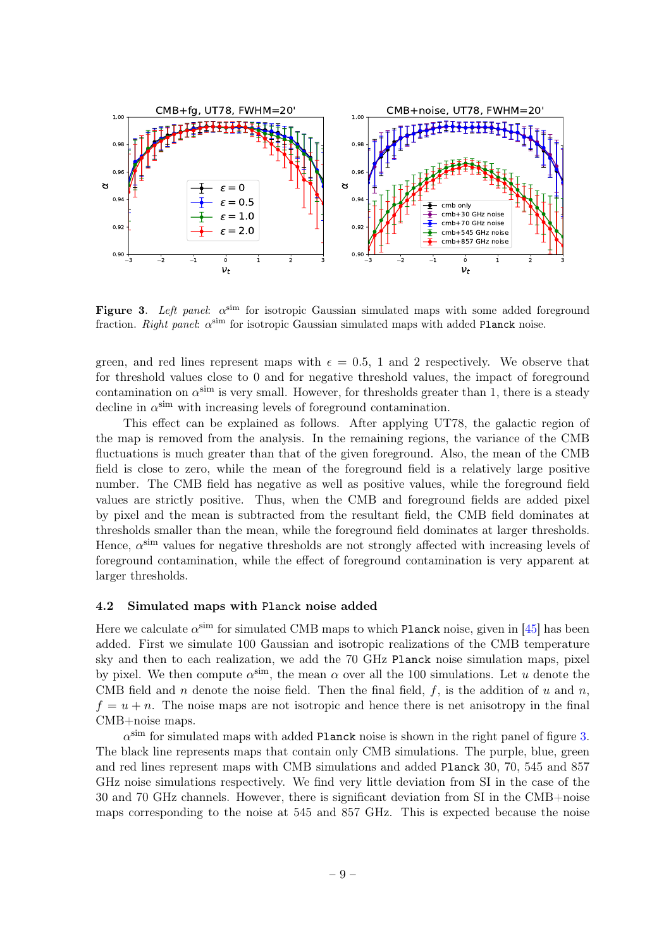

<span id="page-9-1"></span>Figure 3. Left panel:  $\alpha^{\text{sim}}$  for isotropic Gaussian simulated maps with some added foreground fraction. Right panel:  $\alpha^{\text{sim}}$  for isotropic Gaussian simulated maps with added Planck noise.

green, and red lines represent maps with  $\epsilon = 0.5$ , 1 and 2 respectively. We observe that for threshold values close to 0 and for negative threshold values, the impact of foreground contamination on  $\alpha^{\text{sim}}$  is very small. However, for thresholds greater than 1, there is a steady decline in  $\alpha^{\text{sim}}$  with increasing levels of foreground contamination.

This effect can be explained as follows. After applying UT78, the galactic region of the map is removed from the analysis. In the remaining regions, the variance of the CMB fluctuations is much greater than that of the given foreground. Also, the mean of the CMB field is close to zero, while the mean of the foreground field is a relatively large positive number. The CMB field has negative as well as positive values, while the foreground field values are strictly positive. Thus, when the CMB and foreground fields are added pixel by pixel and the mean is subtracted from the resultant field, the CMB field dominates at thresholds smaller than the mean, while the foreground field dominates at larger thresholds. Hence,  $\alpha^{\text{sim}}$  values for negative thresholds are not strongly affected with increasing levels of foreground contamination, while the effect of foreground contamination is very apparent at larger thresholds.

## <span id="page-9-0"></span>4.2 Simulated maps with Planck noise added

Here we calculate  $\alpha^{\text{sim}}$  for simulated CMB maps to which Planck noise, given in [\[45\]](#page-16-6) has been added. First we simulate 100 Gaussian and isotropic realizations of the CMB temperature sky and then to each realization, we add the 70 GHz Planck noise simulation maps, pixel by pixel. We then compute  $\alpha^{\text{sim}}$ , the mean  $\alpha$  over all the 100 simulations. Let u denote the CMB field and n denote the noise field. Then the final field,  $f$ , is the addition of u and n,  $f = u + n$ . The noise maps are not isotropic and hence there is net anisotropy in the final CMB+noise maps.

 $\alpha^{\textrm{sim}}$  for simulated maps with added Planck noise is shown in the right panel of figure [3.](#page-9-1) The black line represents maps that contain only CMB simulations. The purple, blue, green and red lines represent maps with CMB simulations and added Planck 30, 70, 545 and 857 GHz noise simulations respectively. We find very little deviation from SI in the case of the 30 and 70 GHz channels. However, there is significant deviation from SI in the CMB+noise maps corresponding to the noise at 545 and 857 GHz. This is expected because the noise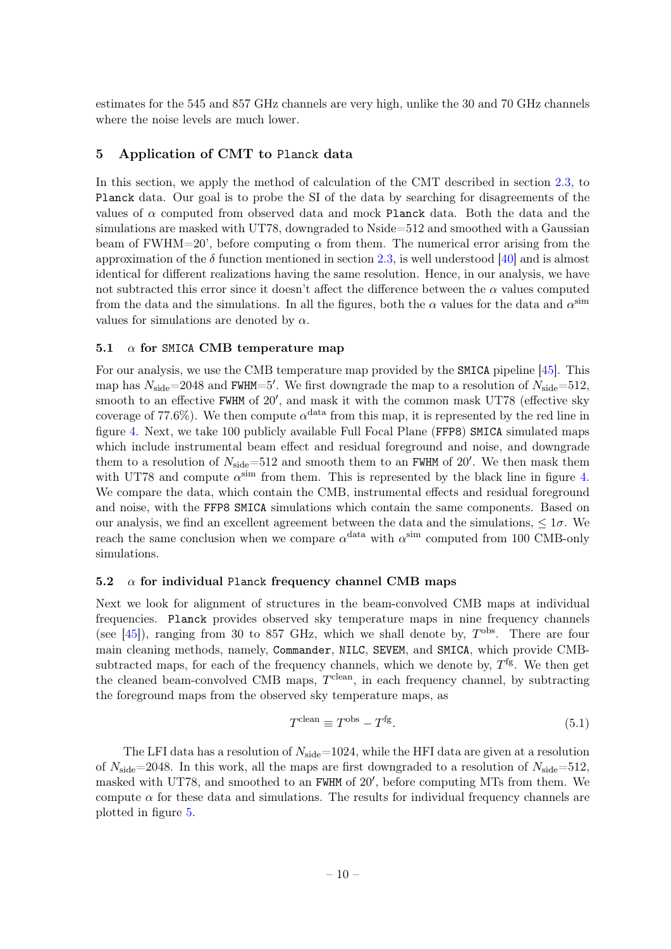estimates for the 545 and 857 GHz channels are very high, unlike the 30 and 70 GHz channels where the noise levels are much lower.

## <span id="page-10-0"></span>5 Application of CMT to Planck data

In this section, we apply the method of calculation of the CMT described in section [2.3,](#page-4-1) to Planck data. Our goal is to probe the SI of the data by searching for disagreements of the values of  $\alpha$  computed from observed data and mock Planck data. Both the data and the simulations are masked with UT78, downgraded to Nside=512 and smoothed with a Gaussian beam of FWHM=20', before computing  $\alpha$  from them. The numerical error arising from the approximation of the  $\delta$  function mentioned in section [2.3,](#page-4-1) is well understood [\[40\]](#page-16-1) and is almost identical for different realizations having the same resolution. Hence, in our analysis, we have not subtracted this error since it doesn't affect the difference between the  $\alpha$  values computed from the data and the simulations. In all the figures, both the  $\alpha$  values for the data and  $\alpha^{\text{sim}}$ values for simulations are denoted by  $\alpha$ .

## <span id="page-10-1"></span>5.1  $\alpha$  for SMICA CMB temperature map

For our analysis, we use the CMB temperature map provided by the SMICA pipeline [\[45\]](#page-16-6). This map has  $N_{\text{side}}$ =2048 and FWHM=5'. We first downgrade the map to a resolution of  $N_{\text{side}}$ =512, smooth to an effective FWHM of 20', and mask it with the common mask UT78 (effective sky coverage of 77.6%). We then compute  $\alpha^{\text{data}}$  from this map, it is represented by the red line in figure [4.](#page-11-1) Next, we take 100 publicly available Full Focal Plane (FFP8) SMICA simulated maps which include instrumental beam effect and residual foreground and noise, and downgrade them to a resolution of  $N_{side} = 512$  and smooth them to an FWHM of 20'. We then mask them with UT78 and compute  $\alpha^{\text{sim}}$  from them. This is represented by the black line in figure [4.](#page-11-1) We compare the data, which contain the CMB, instrumental effects and residual foreground and noise, with the FFP8 SMICA simulations which contain the same components. Based on our analysis, we find an excellent agreement between the data and the simulations,  $\leq 1\sigma$ . We reach the same conclusion when we compare  $\alpha^{\text{data}}$  with  $\alpha^{\text{sim}}$  computed from 100 CMB-only simulations.

## <span id="page-10-2"></span>5.2  $\alpha$  for individual Planck frequency channel CMB maps

Next we look for alignment of structures in the beam-convolved CMB maps at individual frequencies. Planck provides observed sky temperature maps in nine frequency channels (see [\[45\]](#page-16-6)), ranging from 30 to 857 GHz, which we shall denote by,  $T^{obs}$ . There are four main cleaning methods, namely, Commander, NILC, SEVEM, and SMICA, which provide CMBsubtracted maps, for each of the frequency channels, which we denote by,  $T^{\{g\}}$ . We then get the cleaned beam-convolved CMB maps,  $T^{\text{clean}}$ , in each frequency channel, by subtracting the foreground maps from the observed sky temperature maps, as

$$
T^{\text{clean}} \equiv T^{\text{obs}} - T^{\text{fg}}.\tag{5.1}
$$

The LFI data has a resolution of  $N_{side}=1024$ , while the HFI data are given at a resolution of  $N_{\text{side}}=2048$ . In this work, all the maps are first downgraded to a resolution of  $N_{\text{side}}=512$ , masked with UT78, and smoothed to an FWHM of 20', before computing MTs from them. We compute  $\alpha$  for these data and simulations. The results for individual frequency channels are plotted in figure [5.](#page-12-0)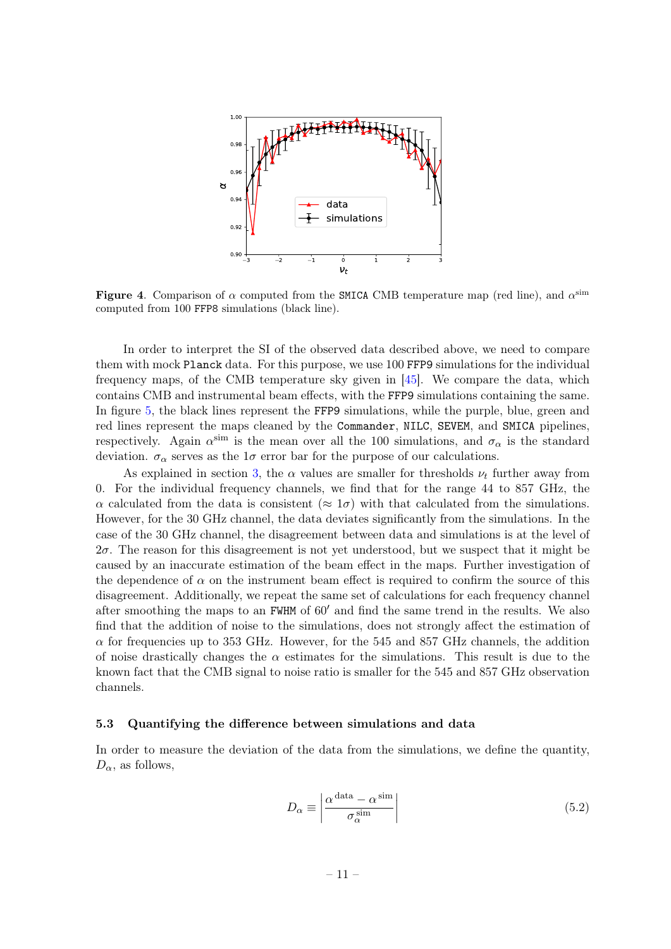<span id="page-11-1"></span>

Figure 4. Comparison of  $\alpha$  computed from the SMICA CMB temperature map (red line), and  $\alpha^{\text{sim}}$ computed from 100 FFP8 simulations (black line).

In order to interpret the SI of the observed data described above, we need to compare them with mock Planck data. For this purpose, we use 100 FFP9 simulations for the individual frequency maps, of the CMB temperature sky given in [\[45\]](#page-16-6). We compare the data, which contains CMB and instrumental beam effects, with the FFP9 simulations containing the same. In figure [5,](#page-12-0) the black lines represent the FFP9 simulations, while the purple, blue, green and red lines represent the maps cleaned by the Commander, NILC, SEVEM, and SMICA pipelines, respectively. Again  $\alpha^{\text{sim}}$  is the mean over all the 100 simulations, and  $\sigma_{\alpha}$  is the standard deviation.  $\sigma_{\alpha}$  serves as the  $1\sigma$  error bar for the purpose of our calculations.

As explained in section [3,](#page-6-0) the  $\alpha$  values are smaller for thresholds  $\nu_t$  further away from 0. For the individual frequency channels, we find that for the range 44 to 857 GHz, the  $\alpha$  calculated from the data is consistent  $(\approx 1\sigma)$  with that calculated from the simulations. However, for the 30 GHz channel, the data deviates significantly from the simulations. In the case of the 30 GHz channel, the disagreement between data and simulations is at the level of  $2\sigma$ . The reason for this disagreement is not yet understood, but we suspect that it might be caused by an inaccurate estimation of the beam effect in the maps. Further investigation of the dependence of  $\alpha$  on the instrument beam effect is required to confirm the source of this disagreement. Additionally, we repeat the same set of calculations for each frequency channel after smoothing the maps to an FWHM of  $60'$  and find the same trend in the results. We also find that the addition of noise to the simulations, does not strongly affect the estimation of  $\alpha$  for frequencies up to 353 GHz. However, for the 545 and 857 GHz channels, the addition of noise drastically changes the  $\alpha$  estimates for the simulations. This result is due to the known fact that the CMB signal to noise ratio is smaller for the 545 and 857 GHz observation channels.

## <span id="page-11-0"></span>5.3 Quantifying the difference between simulations and data

In order to measure the deviation of the data from the simulations, we define the quantity,  $D_{\alpha}$ , as follows,

$$
D_{\alpha} \equiv \left| \frac{\alpha^{\text{ data}} - \alpha^{\text{sim}}}{\sigma_{\alpha}^{\text{sim}}} \right| \tag{5.2}
$$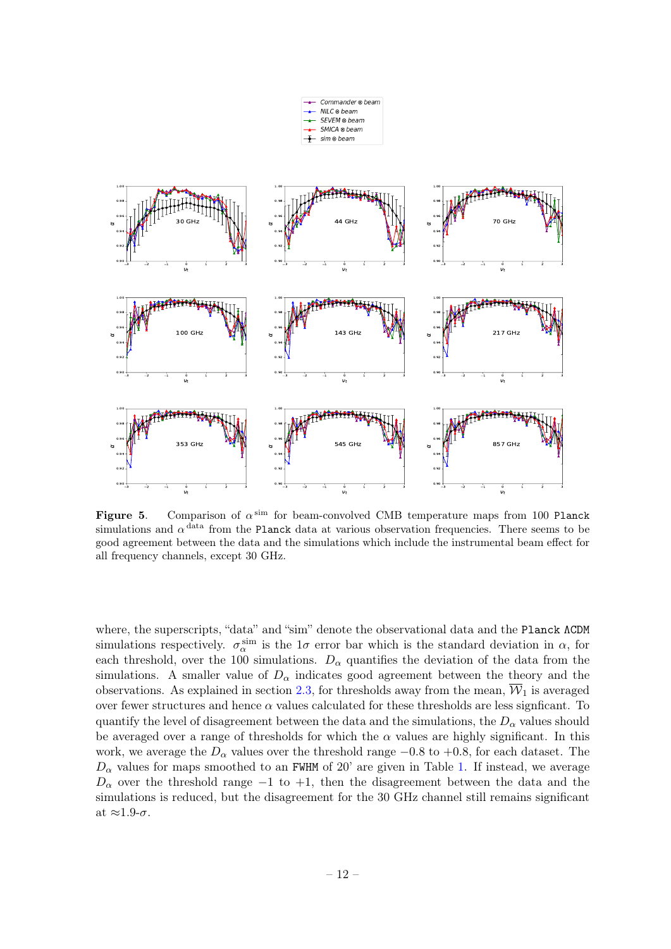

<span id="page-12-0"></span>Figure 5. Comparison of  $\alpha^{\text{sim}}$  for beam-convolved CMB temperature maps from 100 Planck simulations and  $\alpha$ <sup>data</sup> from the Planck data at various observation frequencies. There seems to be good agreement between the data and the simulations which include the instrumental beam effect for all frequency channels, except 30 GHz.

where, the superscripts, "data" and "sim" denote the observational data and the Planck ΛCDM simulations respectively.  $\sigma_{\alpha}^{\text{sim}}$  is the 1 $\sigma$  error bar which is the standard deviation in  $\alpha$ , for each threshold, over the 100 simulations.  $D_{\alpha}$  quantifies the deviation of the data from the simulations. A smaller value of  $D_{\alpha}$  indicates good agreement between the theory and the observations. As explained in section [2.3,](#page-4-1) for thresholds away from the mean,  $\overline{W}_1$  is averaged over fewer structures and hence  $\alpha$  values calculated for these thresholds are less signficant. To quantify the level of disagreement between the data and the simulations, the  $D_{\alpha}$  values should be averaged over a range of thresholds for which the  $\alpha$  values are highly significant. In this work, we average the  $D_{\alpha}$  values over the threshold range  $-0.8$  to  $+0.8$ , for each dataset. The  $D_{\alpha}$  values for maps smoothed to an FWHM of 20' are given in Table [1.](#page-13-1) If instead, we average  $D_{\alpha}$  over the threshold range −1 to +1, then the disagreement between the data and the simulations is reduced, but the disagreement for the 30 GHz channel still remains significant at  $\approx 1.9$ -σ.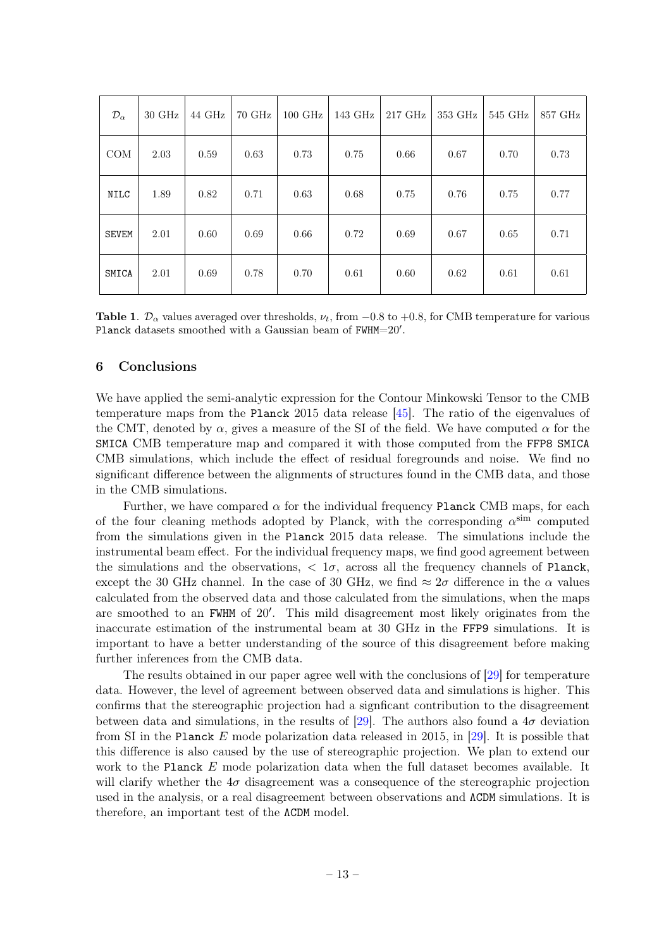| $\mathcal{D}_{\alpha}$ | $30 \text{ GHz}$ | 44 GHz | $70 \text{ GHz}$ | $100 \text{ GHz}$ | 143 GHz | 217 GHz | 353 GHz | $545$ GHz | 857 GHz |
|------------------------|------------------|--------|------------------|-------------------|---------|---------|---------|-----------|---------|
| <b>COM</b>             | 2.03             | 0.59   | 0.63             | 0.73              | 0.75    | 0.66    | 0.67    | 0.70      | 0.73    |
| NILC                   | 1.89             | 0.82   | 0.71             | 0.63              | 0.68    | 0.75    | 0.76    | 0.75      | 0.77    |
| <b>SEVEM</b>           | 2.01             | 0.60   | 0.69             | 0.66              | 0.72    | 0.69    | 0.67    | 0.65      | 0.71    |
| SMICA                  | 2.01             | 0.69   | 0.78             | 0.70              | 0.61    | 0.60    | 0.62    | 0.61      | 0.61    |

<span id="page-13-1"></span>Table 1.  $\mathcal{D}_{\alpha}$  values averaged over thresholds,  $\nu_t$ , from −0.8 to +0.8, for CMB temperature for various Planck datasets smoothed with a Gaussian beam of FWHM=20'.

## <span id="page-13-0"></span>6 Conclusions

We have applied the semi-analytic expression for the Contour Minkowski Tensor to the CMB temperature maps from the Planck 2015 data release [\[45\]](#page-16-6). The ratio of the eigenvalues of the CMT, denoted by  $\alpha$ , gives a measure of the SI of the field. We have computed  $\alpha$  for the SMICA CMB temperature map and compared it with those computed from the FFP8 SMICA CMB simulations, which include the effect of residual foregrounds and noise. We find no significant difference between the alignments of structures found in the CMB data, and those in the CMB simulations.

Further, we have compared  $\alpha$  for the individual frequency Planck CMB maps, for each of the four cleaning methods adopted by Planck, with the corresponding  $\alpha^{\text{sim}}$  computed from the simulations given in the Planck 2015 data release. The simulations include the instrumental beam effect. For the individual frequency maps, we find good agreement between the simulations and the observations,  $\langle 1\sigma, \text{ across all the frequency channels of Planck,}$ except the 30 GHz channel. In the case of 30 GHz, we find  $\approx 2\sigma$  difference in the  $\alpha$  values calculated from the observed data and those calculated from the simulations, when the maps are smoothed to an FWHM of 20'. This mild disagreement most likely originates from the inaccurate estimation of the instrumental beam at 30 GHz in the FFP9 simulations. It is important to have a better understanding of the source of this disagreement before making further inferences from the CMB data.

The results obtained in our paper agree well with the conclusions of [\[29\]](#page-15-0) for temperature data. However, the level of agreement between observed data and simulations is higher. This confirms that the stereographic projection had a signficant contribution to the disagreement between data and simulations, in the results of [\[29\]](#page-15-0). The authors also found a  $4\sigma$  deviation from SI in the Planck E mode polarization data released in 2015, in [\[29\]](#page-15-0). It is possible that this difference is also caused by the use of stereographic projection. We plan to extend our work to the Planck E mode polarization data when the full dataset becomes available. It will clarify whether the  $4\sigma$  disagreement was a consequence of the stereographic projection used in the analysis, or a real disagreement between observations and  $\Lambda$ CDM simulations. It is therefore, an important test of the ΛCDM model.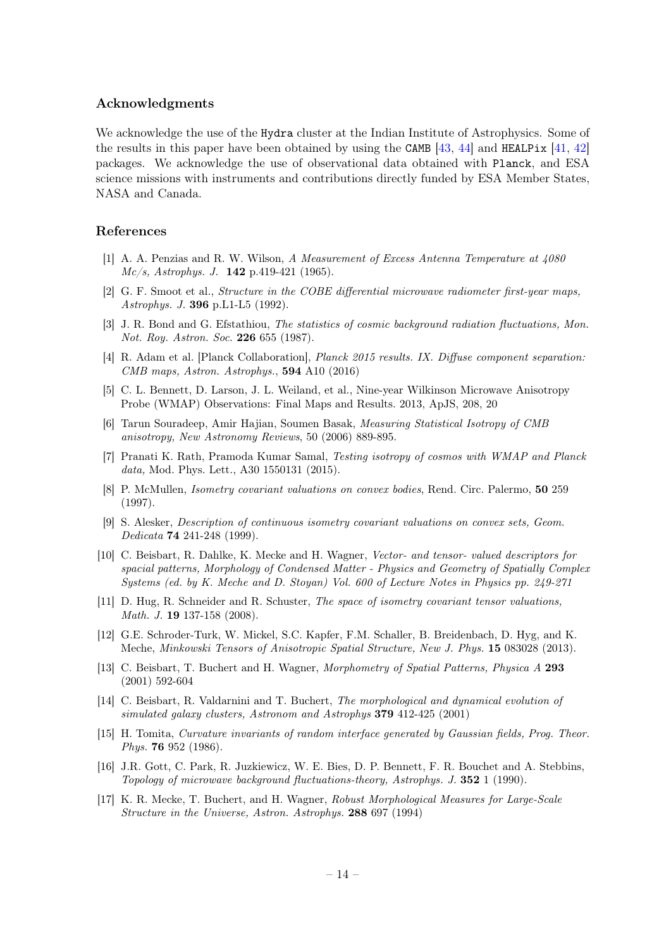## Acknowledgments

We acknowledge the use of the Hydra cluster at the Indian Institute of Astrophysics. Some of the results in this paper have been obtained by using the CAMB  $[43, 44]$  $[43, 44]$  $[43, 44]$  and HEALPix  $[41, 42]$  $[41, 42]$  $[41, 42]$ packages. We acknowledge the use of observational data obtained with Planck, and ESA science missions with instruments and contributions directly funded by ESA Member States, NASA and Canada.

## References

- <span id="page-14-0"></span>[1] A. A. Penzias and R. W. Wilson, A Measurement of Excess Antenna Temperature at 4080  $Mc/s$ , Astrophys. J. **142** p.419-421 (1965).
- [2] G. F. Smoot et al., *Structure in the COBE differential microwave radiometer first-year maps*, Astrophys. J. 396 p.L1-L5 (1992).
- <span id="page-14-1"></span>[3] J. R. Bond and G. Efstathiou, The statistics of cosmic background radiation fluctuations, Mon. Not. Roy. Astron. Soc. 226 655 (1987).
- <span id="page-14-2"></span>[4] R. Adam et al. [Planck Collaboration], Planck 2015 results. IX. Diffuse component separation: CMB maps, Astron. Astrophys., 594 A10 (2016)
- <span id="page-14-3"></span>[5] C. L. Bennett, D. Larson, J. L. Weiland, et al., Nine-year Wilkinson Microwave Anisotropy Probe (WMAP) Observations: Final Maps and Results. 2013, ApJS, 208, 20
- <span id="page-14-4"></span>[6] Tarun Souradeep, Amir Hajian, Soumen Basak, Measuring Statistical Isotropy of CMB anisotropy, New Astronomy Reviews, 50 (2006) 889-895.
- <span id="page-14-5"></span>[7] Pranati K. Rath, Pramoda Kumar Samal, Testing isotropy of cosmos with WMAP and Planck data, Mod. Phys. Lett., A30 1550131 (2015).
- <span id="page-14-6"></span>[8] P. McMullen, Isometry covariant valuations on convex bodies, Rend. Circ. Palermo, 50 259 (1997).
- [9] S. Alesker, Description of continuous isometry covariant valuations on convex sets, Geom. Dedicata 74 241-248 (1999).
- [10] C. Beisbart, R. Dahlke, K. Mecke and H. Wagner, Vector- and tensor- valued descriptors for spacial patterns, Morphology of Condensed Matter - Physics and Geometry of Spatially Complex Systems (ed. by K. Meche and D. Stoyan) Vol. 600 of Lecture Notes in Physics pp. 249-271
- [11] D. Hug, R. Schneider and R. Schuster, The space of isometry covariant tensor valuations, Math. J. **19** 137-158 (2008).
- [12] G.E. Schroder-Turk, W. Mickel, S.C. Kapfer, F.M. Schaller, B. Breidenbach, D. Hyg, and K. Meche, Minkowski Tensors of Anisotropic Spatial Structure, New J. Phys. 15 083028 (2013).
- [13] C. Beisbart, T. Buchert and H. Wagner, Morphometry of Spatial Patterns, Physica A 293 (2001) 592-604
- <span id="page-14-7"></span>[14] C. Beisbart, R. Valdarnini and T. Buchert, The morphological and dynamical evolution of simulated galaxy clusters, Astronom and Astrophys 379 412-425 (2001)
- <span id="page-14-8"></span>[15] H. Tomita, Curvature invariants of random interface generated by Gaussian fields, Prog. Theor. Phys. 76 952 (1986).
- [16] J.R. Gott, C. Park, R. Juzkiewicz, W. E. Bies, D. P. Bennett, F. R. Bouchet and A. Stebbins, Topology of microwave background fluctuations-theory, Astrophys. J. 352 1 (1990).
- [17] K. R. Mecke, T. Buchert, and H. Wagner, Robust Morphological Measures for Large-Scale Structure in the Universe, Astron. Astrophys. 288 697 (1994)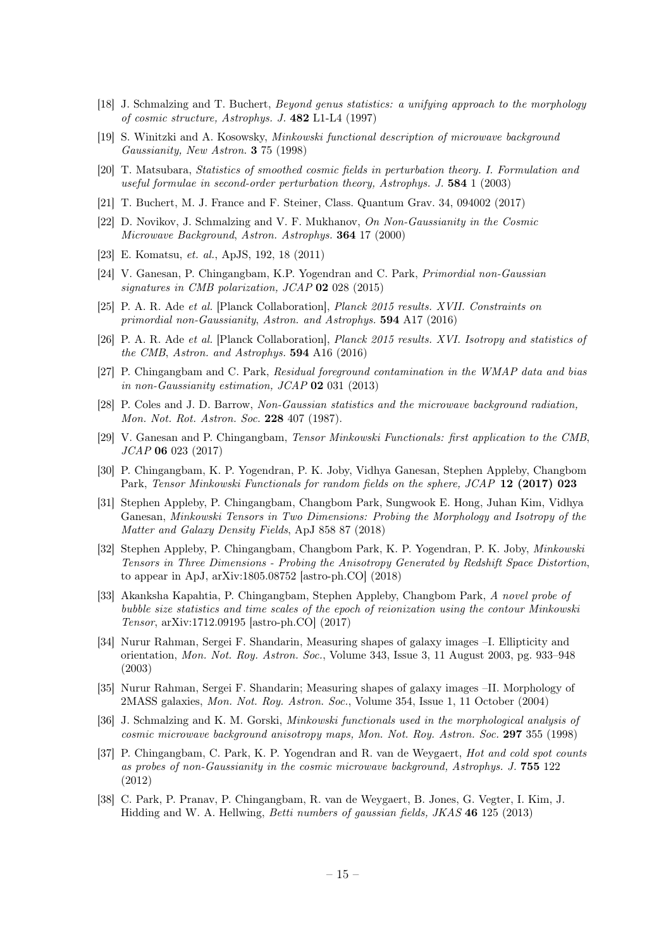- [18] J. Schmalzing and T. Buchert, Beyond genus statistics: a unifying approach to the morphology of cosmic structure, Astrophys. J. 482 L1-L4 (1997)
- [19] S. Winitzki and A. Kosowsky, Minkowski functional description of microwave background Gaussianity, New Astron. 3 75 (1998)
- [20] T. Matsubara, Statistics of smoothed cosmic fields in perturbation theory. I. Formulation and useful formulae in second-order perturbation theory, Astrophys. J.  $584 \frac{1}{2003}$
- [21] T. Buchert, M. J. France and F. Steiner, Class. Quantum Grav. 34, 094002 (2017)
- [22] D. Novikov, J. Schmalzing and V. F. Mukhanov, On Non-Gaussianity in the Cosmic Microwave Background, Astron. Astrophys. 364 17 (2000)
- [23] E. Komatsu, et. al., ApJS, 192, 18 (2011)
- [24] V. Ganesan, P. Chingangbam, K.P. Yogendran and C. Park, Primordial non-Gaussian signatures in CMB polarization, JCAP 02 028 (2015)
- [25] P. A. R. Ade et al. [Planck Collaboration], Planck 2015 results. XVII. Constraints on primordial non-Gaussianity, Astron. and Astrophys. 594 A17 (2016)
- [26] P. A. R. Ade et al. [Planck Collaboration], Planck 2015 results. XVI. Isotropy and statistics of the CMB, Astron. and Astrophys. 594 A16 (2016)
- [27] P. Chingangbam and C. Park, Residual foreground contamination in the WMAP data and bias in non-Gaussianity estimation, JCAP 02 031 (2013)
- <span id="page-15-1"></span>[28] P. Coles and J. D. Barrow, Non-Gaussian statistics and the microwave background radiation. Mon. Not. Rot. Astron. Soc. 228 407 (1987).
- <span id="page-15-0"></span>[29] V. Ganesan and P. Chingangbam, Tensor Minkowski Functionals: first application to the CMB, JCAP 06 023 (2017)
- <span id="page-15-5"></span>[30] P. Chingangbam, K. P. Yogendran, P. K. Joby, Vidhya Ganesan, Stephen Appleby, Changbom Park, Tensor Minkowski Functionals for random fields on the sphere, JCAP 12 (2017) 023
- [31] Stephen Appleby, P. Chingangbam, Changbom Park, Sungwook E. Hong, Juhan Kim, Vidhya Ganesan, Minkowski Tensors in Two Dimensions: Probing the Morphology and Isotropy of the Matter and Galaxy Density Fields, ApJ 858 87 (2018)
- [32] Stephen Appleby, P. Chingangbam, Changbom Park, K. P. Yogendran, P. K. Joby, Minkowski Tensors in Three Dimensions - Probing the Anisotropy Generated by Redshift Space Distortion, to appear in ApJ, arXiv:1805.08752 [astro-ph.CO] (2018)
- <span id="page-15-2"></span>[33] Akanksha Kapahtia, P. Chingangbam, Stephen Appleby, Changbom Park, A novel probe of bubble size statistics and time scales of the epoch of reionization using the contour Minkowski Tensor, arXiv:1712.09195 [astro-ph.CO] (2017)
- <span id="page-15-3"></span>[34] Nurur Rahman, Sergei F. Shandarin, Measuring shapes of galaxy images –I. Ellipticity and orientation, Mon. Not. Roy. Astron. Soc., Volume 343, Issue 3, 11 August 2003, pg. 933–948 (2003)
- <span id="page-15-4"></span>[35] Nurur Rahman, Sergei F. Shandarin; Measuring shapes of galaxy images –II. Morphology of 2MASS galaxies, Mon. Not. Roy. Astron. Soc., Volume 354, Issue 1, 11 October (2004)
- <span id="page-15-6"></span>[36] J. Schmalzing and K. M. Gorski, Minkowski functionals used in the morphological analysis of cosmic microwave background anisotropy maps, Mon. Not. Roy. Astron. Soc. 297 355 (1998)
- <span id="page-15-7"></span>[37] P. Chingangbam, C. Park, K. P. Yogendran and R. van de Weygaert, Hot and cold spot counts as probes of non-Gaussianity in the cosmic microwave background, Astrophys. J. 755 122 (2012)
- <span id="page-15-8"></span>[38] C. Park, P. Pranav, P. Chingangbam, R. van de Weygaert, B. Jones, G. Vegter, I. Kim, J. Hidding and W. A. Hellwing, Betti numbers of gaussian fields, JKAS 46 125 (2013)